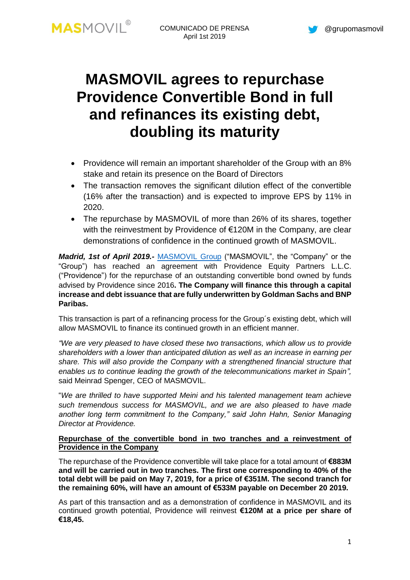# **MASMOVIL agrees to repurchase Providence Convertible Bond in full and refinances its existing debt, doubling its maturity**

- Providence will remain an important shareholder of the Group with an 8% stake and retain its presence on the Board of Directors
- The transaction removes the significant dilution effect of the convertible (16% after the transaction) and is expected to improve EPS by 11% in 2020.
- The repurchase by MASMOVIL of more than 26% of its shares, together with the reinvestment by Providence of €120M in the Company, are clear demonstrations of confidence in the continued growth of MASMOVIL.

*Madrid, 1st of April 2019.-* [MASMOVIL](http://www.grupomasmovil.com/) Group ("MASMOVIL", the "Company" or the "Group") has reached an agreement with Providence Equity Partners L.L.C. ("Providence") for the repurchase of an outstanding convertible bond owned by funds advised by Providence since 2016**. The Company will finance this through a capital increase and debt issuance that are fully underwritten by Goldman Sachs and BNP Paribas.**

This transaction is part of a refinancing process for the Group´s existing debt, which will allow MASMOVIL to finance its continued growth in an efficient manner.

*"We are very pleased to have closed these two transactions, which allow us to provide shareholders with a lower than anticipated dilution as well as an increase in earning per share. This will also provide the Company with a strengthened financial structure that enables us to continue leading the growth of the telecommunications market in Spain",* said Meinrad Spenger, CEO of MASMOVIL.

"*We are thrilled to have supported Meini and his talented management team achieve such tremendous success for MASMOVIL, and we are also pleased to have made another long term commitment to the Company," said John Hahn, Senior Managing Director at Providence.*

## **Repurchase of the convertible bond in two tranches and a reinvestment of Providence in the Company**

The repurchase of the Providence convertible will take place for a total amount of **€883M and will be carried out in two tranches. The first one corresponding to 40% of the total debt will be paid on May 7, 2019, for a price of €351M. The second tranch for the remaining 60%, will have an amount of €533M payable on December 20 2019.**

As part of this transaction and as a demonstration of confidence in MASMOVIL and its continued growth potential, Providence will reinvest **€120M at a price per share of €18,45.**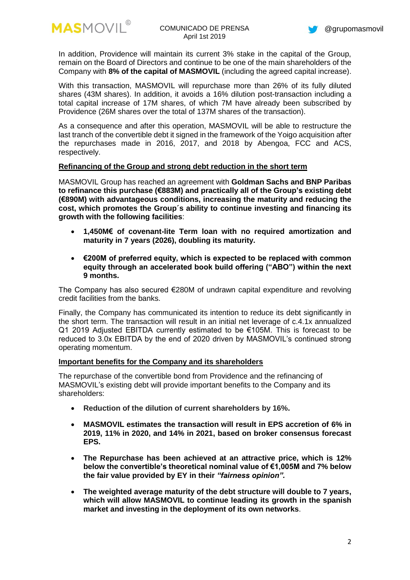



In addition, Providence will maintain its current 3% stake in the capital of the Group, remain on the Board of Directors and continue to be one of the main shareholders of the Company with **8% of the capital of MASMOVIL** (including the agreed capital increase).

With this transaction, MASMOVIL will repurchase more than 26% of its fully diluted shares (43M shares). In addition, it avoids a 16% dilution post-transaction including a total capital increase of 17M shares, of which 7M have already been subscribed by Providence (26M shares over the total of 137M shares of the transaction).

As a consequence and after this operation, MASMOVIL will be able to restructure the last tranch of the convertible debt it signed in the framework of the Yoigo acquisition after the repurchases made in 2016, 2017, and 2018 by Abengoa, FCC and ACS, respectively.

## **Refinancing of the Group and strong debt reduction in the short term**

MASMOVIL Group has reached an agreement with **Goldman Sachs and BNP Paribas to refinance this purchase (€883M) and practically all of the Group's existing debt (€890M) with advantageous conditions, increasing the maturity and reducing the cost, which promotes the Group´s ability to continue investing and financing its growth with the following facilities**:

- **1,450M€ of covenant-lite Term loan with no required amortization and maturity in 7 years (2026), doubling its maturity.**
- **€200M of preferred equity, which is expected to be replaced with common equity through an accelerated book build offering ("ABO") within the next 9 months.**

The Company has also secured €280M of undrawn capital expenditure and revolving credit facilities from the banks.

Finally, the Company has communicated its intention to reduce its debt significantly in the short term. The transaction will result in an initial net leverage of c.4.1x annualized Q1 2019 Adjusted EBITDA currently estimated to be €105M. This is forecast to be reduced to 3.0x EBITDA by the end of 2020 driven by MASMOVIL's continued strong operating momentum.

## **Important benefits for the Company and its shareholders**

The repurchase of the convertible bond from Providence and the refinancing of MASMOVIL's existing debt will provide important benefits to the Company and its shareholders:

- **Reduction of the dilution of current shareholders by 16%.**
- **MASMOVIL estimates the transaction will result in EPS accretion of 6% in 2019, 11% in 2020, and 14% in 2021, based on broker consensus forecast EPS.**
- **The Repurchase has been achieved at an attractive price, which is 12% below the convertible's theoretical nominal value of €1,005M and 7% below the fair value provided by EY in their** *"fairness opinion".*
- **The weighted average maturity of the debt structure will double to 7 years, which will allow MASMOVIL to continue leading its growth in the spanish market and investing in the deployment of its own networks**.